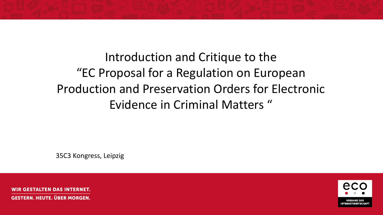Introduction and Critique to the "EC Proposal for a Regulation on European Production and Preservation Orders for Electronic Evidence in Criminal Matters "

35C3 Kongress, Leipzig

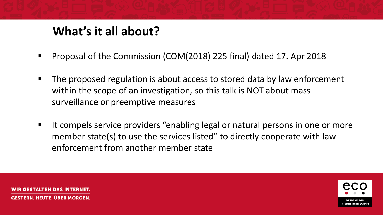## **What's it all about?**

- Proposal of the Commission (COM(2018) 225 final) dated 17. Apr 2018
- The proposed regulation is about access to stored data by law enforcement within the scope of an investigation, so this talk is NOT about mass surveillance or preemptive measures
- It compels service providers "enabling legal or natural persons in one or more member state(s) to use the services listed" to directly cooperate with law enforcement from another member state

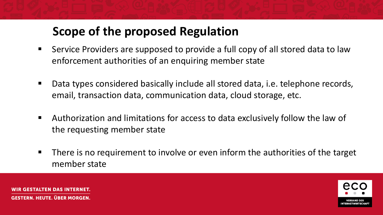## **Scope of the proposed Regulation**

- Service Providers are supposed to provide a full copy of all stored data to law enforcement authorities of an enquiring member state
- Data types considered basically include all stored data, i.e. telephone records, email, transaction data, communication data, cloud storage, etc.
- Authorization and limitations for access to data exclusively follow the law of the requesting member state
- There is no requirement to involve or even inform the authorities of the target member state



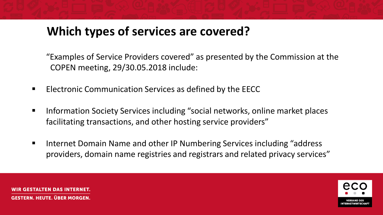## **Which types of services are covered?**

"Examples of Service Providers covered" as presented by the Commission at the COPEN meeting, 29/30.05.2018 include:

- Electronic Communication Services as defined by the EECC
- Information Society Services including "social networks, online market places facilitating transactions, and other hosting service providers"
- Internet Domain Name and other IP Numbering Services including "address" providers, domain name registries and registrars and related privacy services"



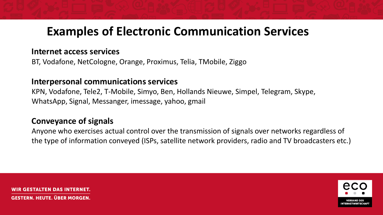### **Examples of Electronic Communication Services**

#### **Internet access services**

BT, Vodafone, NetCologne, Orange, Proximus, Telia, TMobile, Ziggo

#### **Interpersonal communications services**

KPN, Vodafone, Tele2, T-Mobile, Simyo, Ben, Hollands Nieuwe, Simpel, Telegram, Skype, WhatsApp, Signal, Messanger, imessage, yahoo, gmail

#### **Conveyance of signals**

Anyone who exercises actual control over the transmission of signals over networks regardless of the type of information conveyed (ISPs, satellite network providers, radio and TV broadcasters etc.)

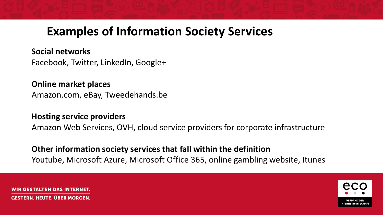### **Examples of Information Society Services**

**Social networks** Facebook, Twitter, LinkedIn, Google+

**Online market places** Amazon.com, eBay, Tweedehands.be

**Hosting service providers**

Amazon Web Services, OVH, cloud service providers for corporate infrastructure

**Other information society services that fall within the definition** Youtube, Microsoft Azure, Microsoft Office 365, online gambling website, Itunes

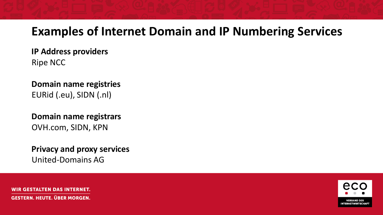#### **Examples of Internet Domain and IP Numbering Services**

**IP Address providers** Ripe NCC

**Domain name registries** EURid (.eu), SIDN (.nl)

**Domain name registrars** OVH.com, SIDN, KPN

**Privacy and proxy services** United-Domains AG

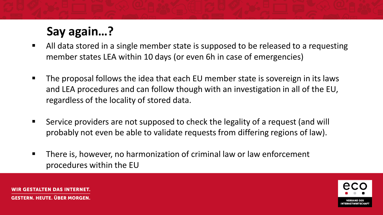# **Say again…?**

- All data stored in a single member state is supposed to be released to a requesting member states LEA within 10 days (or even 6h in case of emergencies)
- The proposal follows the idea that each EU member state is sovereign in its laws and LEA procedures and can follow though with an investigation in all of the EU, regardless of the locality of stored data.
- Service providers are not supposed to check the legality of a request (and will probably not even be able to validate requests from differing regions of law).
- There is, however, no harmonization of criminal law or law enforcement procedures within the EU



LTEN DAS INTERNET **GESTERN. HEUTE. ÜBER MORGEN.**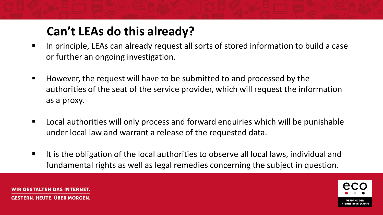## **Can't LEAs do this already?**

- In principle, LEAs can already request all sorts of stored information to build a case or further an ongoing investigation.
- However, the request will have to be submitted to and processed by the authorities of the seat of the service provider, which will request the information as a proxy.
- Local authorities will only process and forward enquiries which will be punishable under local law and warrant a release of the requested data.
- It is the obligation of the local authorities to observe all local laws, individual and fundamental rights as well as legal remedies concerning the subject in question.



LTEN DAS INTERNET **GESTERN. HEUTE. ÜBER MORGEN.**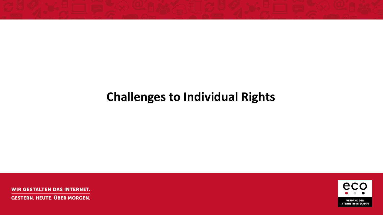## **Challenges to Individual Rights**

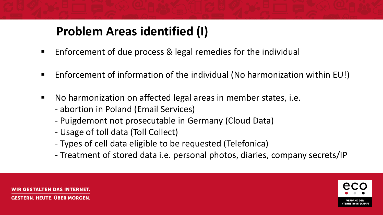# **Problem Areas identified (I)**

- Enforcement of due process & legal remedies for the individual
- Enforcement of information of the individual (No harmonization within EU!)
- No harmonization on affected legal areas in member states, i.e.
	- abortion in Poland (Email Services)
	- Puigdemont not prosecutable in Germany (Cloud Data)
	- Usage of toll data (Toll Collect)
	- Types of cell data eligible to be requested (Telefonica)
	- Treatment of stored data i.e. personal photos, diaries, company secrets/IP



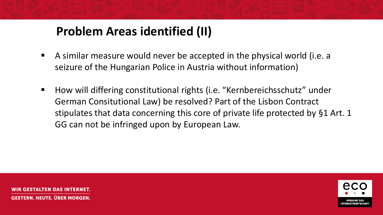## **Problem Areas identified (II)**

- A similar measure would never be accepted in the physical world (i.e. a seizure of the Hungarian Police in Austria without information)
- How will differing constitutional rights (i.e. "Kernbereichsschutz" under German Consitutional Law) be resolved? Part of the Lisbon Contract stipulates that data concerning this core of private life protected by §1 Art. 1 GG can not be infringed upon by European Law.

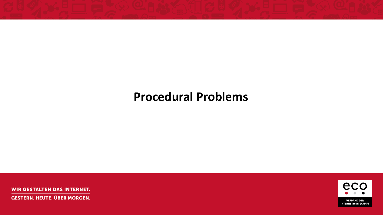### **Procedural Problems**

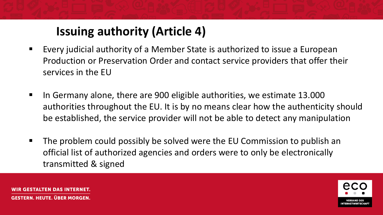# **Issuing authority (Article 4)**

- Every judicial authority of a Member State is authorized to issue a European Production or Preservation Order and contact service providers that offer their services in the EU
- In Germany alone, there are 900 eligible authorities, we estimate 13.000 authorities throughout the EU. It is by no means clear how the authenticity should be established, the service provider will not be able to detect any manipulation
- The problem could possibly be solved were the EU Commission to publish an official list of authorized agencies and orders were to only be electronically transmitted & signed



TEN DAS INTERNET. **GESTERN. HEUTE. ÜBER MORGEN.**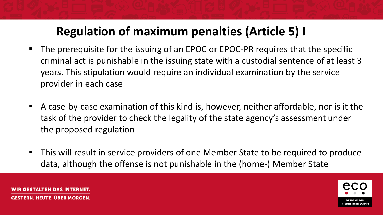## **Regulation of maximum penalties (Article 5) I**

- The prerequisite for the issuing of an EPOC or EPOC-PR requires that the specific criminal act is punishable in the issuing state with a custodial sentence of at least 3 years. This stipulation would require an individual examination by the service provider in each case
- A case-by-case examination of this kind is, however, neither affordable, nor is it the task of the provider to check the legality of the state agency's assessment under the proposed regulation
- This will result in service providers of one Member State to be required to produce data, although the offense is not punishable in the (home-) Member State



LTEN DAS INTERNET **GESTERN. HEUTE. ÜBER MORGEN.**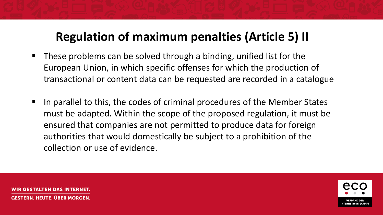### **Regulation of maximum penalties (Article 5) II**

- These problems can be solved through a binding, unified list for the European Union, in which specific offenses for which the production of transactional or content data can be requested are recorded in a catalogue
- In parallel to this, the codes of criminal procedures of the Member States must be adapted. Within the scope of the proposed regulation, it must be ensured that companies are not permitted to produce data for foreign authorities that would domestically be subject to a prohibition of the collection or use of evidence.

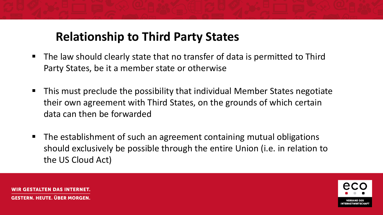### **Relationship to Third Party States**

- The law should clearly state that no transfer of data is permitted to Third Party States, be it a member state or otherwise
- This must preclude the possibility that individual Member States negotiate their own agreement with Third States, on the grounds of which certain data can then be forwarded
- The establishment of such an agreement containing mutual obligations should exclusively be possible through the entire Union (i.e. in relation to the US Cloud Act)

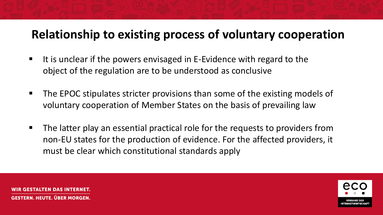#### **Relationship to existing process of voluntary cooperation**

- $\blacksquare$  It is unclear if the powers envisaged in E-Evidence with regard to the object of the regulation are to be understood as conclusive
- The EPOC stipulates stricter provisions than some of the existing models of voluntary cooperation of Member States on the basis of prevailing law
- The latter play an essential practical role for the requests to providers from non-EU states for the production of evidence. For the affected providers, it must be clear which constitutional standards apply

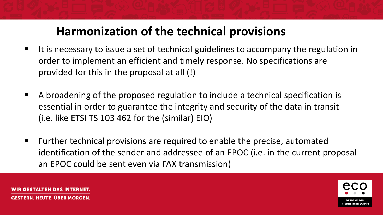## **Harmonization of the technical provisions**

- It is necessary to issue a set of technical guidelines to accompany the regulation in order to implement an efficient and timely response. No specifications are provided for this in the proposal at all (!)
- A broadening of the proposed regulation to include a technical specification is essential in order to guarantee the integrity and security of the data in transit (i.e. like ETSI TS 103 462 for the (similar) EIO)
- Further technical provisions are required to enable the precise, automated identification of the sender and addressee of an EPOC (i.e. in the current proposal an EPOC could be sent even via FAX transmission)



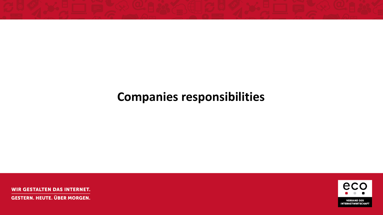## **Companies responsibilities**

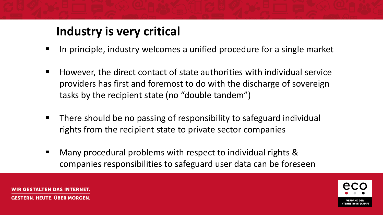## **Industry is very critical**

- In principle, industry welcomes a unified procedure for a single market
- However, the direct contact of state authorities with individual service providers has first and foremost to do with the discharge of sovereign tasks by the recipient state (no "double tandem")
- There should be no passing of responsibility to safeguard individual rights from the recipient state to private sector companies
- Many procedural problems with respect to individual rights & companies responsibilities to safeguard user data can be foreseen



'EN DAS INTERNET **GESTERN. HEUTE. ÜBER MORGEN.**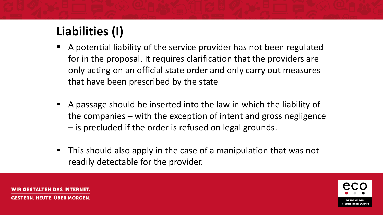# **Liabilities (I)**

- A potential liability of the service provider has not been regulated for in the proposal. It requires clarification that the providers are only acting on an official state order and only carry out measures that have been prescribed by the state
- A passage should be inserted into the law in which the liability of the companies – with the exception of intent and gross negligence – is precluded if the order is refused on legal grounds.
- This should also apply in the case of a manipulation that was not readily detectable for the provider.



TEN DAS INTERNET **GESTERN. HEUTE. ÜBER MORGEN.**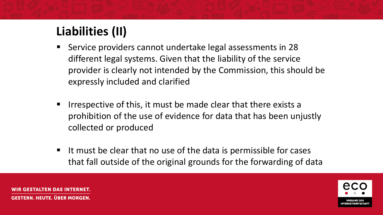# **Liabilities (II)**

- Service providers cannot undertake legal assessments in 28 different legal systems. Given that the liability of the service provider is clearly not intended by the Commission, this should be expressly included and clarified
- Irrespective of this, it must be made clear that there exists a prohibition of the use of evidence for data that has been unjustly collected or produced
- It must be clear that no use of the data is permissible for cases that fall outside of the original grounds for the forwarding of data



TEN DAS INTERNET. **GESTERN. HEUTE. ÜBER MORGEN.**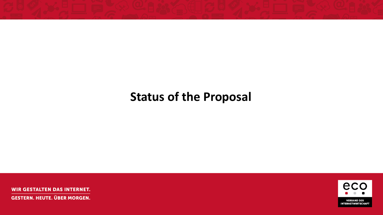## **Status of the Proposal**

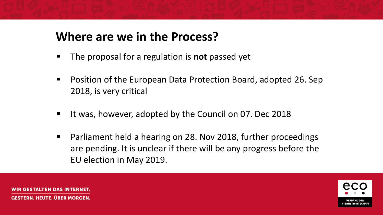### **Where are we in the Process?**

- The proposal for a regulation is **not** passed yet
- Position of the European Data Protection Board, adopted 26. Sep 2018, is very critical
- It was, however, adopted by the Council on 07. Dec 2018
- Parliament held a hearing on 28. Nov 2018, further proceedings are pending. It is unclear if there will be any progress before the EU election in May 2019.



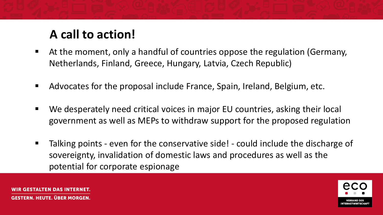## **A call to action!**

- At the moment, only a handful of countries oppose the regulation (Germany, Netherlands, Finland, Greece, Hungary, Latvia, Czech Republic)
- Advocates for the proposal include France, Spain, Ireland, Belgium, etc.
- We desperately need critical voices in major EU countries, asking their local government as well as MEPs to withdraw support for the proposed regulation
- Talking points even for the conservative side! could include the discharge of sovereignty, invalidation of domestic laws and procedures as well as the potential for corporate espionage

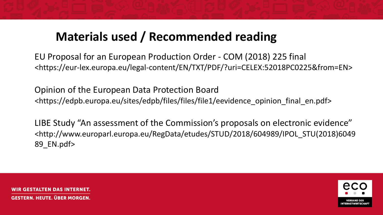## **Materials used / Recommended reading**

EU Proposal for an European Production Order - COM (2018) 225 final <https://eur-lex.europa.eu/legal-content/EN/TXT/PDF/?uri=CELEX:52018PC0225&from=EN>

Opinion of the European Data Protection Board <https://edpb.europa.eu/sites/edpb/files/files/file1/eevidence\_opinion\_final\_en.pdf>

LIBE Study "An assessment of the Commission's proposals on electronic evidence" <http://www.europarl.europa.eu/RegData/etudes/STUD/2018/604989/IPOL\_STU(2018)6049 89\_EN.pdf>